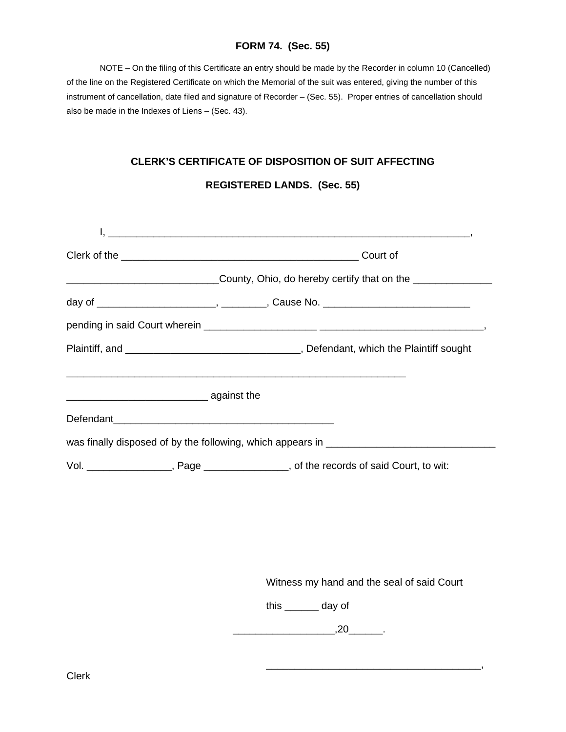### **FORM 74. (Sec. 55)**

 NOTE – On the filing of this Certificate an entry should be made by the Recorder in column 10 (Cancelled) of the line on the Registered Certificate on which the Memorial of the suit was entered, giving the number of this instrument of cancellation, date filed and signature of Recorder – (Sec. 55). Proper entries of cancellation should also be made in the Indexes of Liens – (Sec. 43).

#### **CLERK'S CERTIFICATE OF DISPOSITION OF SUIT AFFECTING**

#### **REGISTERED LANDS. (Sec. 55)**

| Court of |                                                                                       |  |  |  |  |
|----------|---------------------------------------------------------------------------------------|--|--|--|--|
|          |                                                                                       |  |  |  |  |
|          |                                                                                       |  |  |  |  |
|          |                                                                                       |  |  |  |  |
|          |                                                                                       |  |  |  |  |
|          |                                                                                       |  |  |  |  |
|          |                                                                                       |  |  |  |  |
|          | was finally disposed of by the following, which appears in ______________________     |  |  |  |  |
|          | Vol. __________________, Page ________________, of the records of said Court, to wit: |  |  |  |  |

Witness my hand and the seal of said Court

this \_\_\_\_\_\_ day of

 $\overline{\phantom{a}20}$ .  $\overline{\phantom{a}20}$ .

 $\overline{\phantom{a}}$  , and the contract of the contract of the contract of the contract of the contract of the contract of the contract of the contract of the contract of the contract of the contract of the contract of the contrac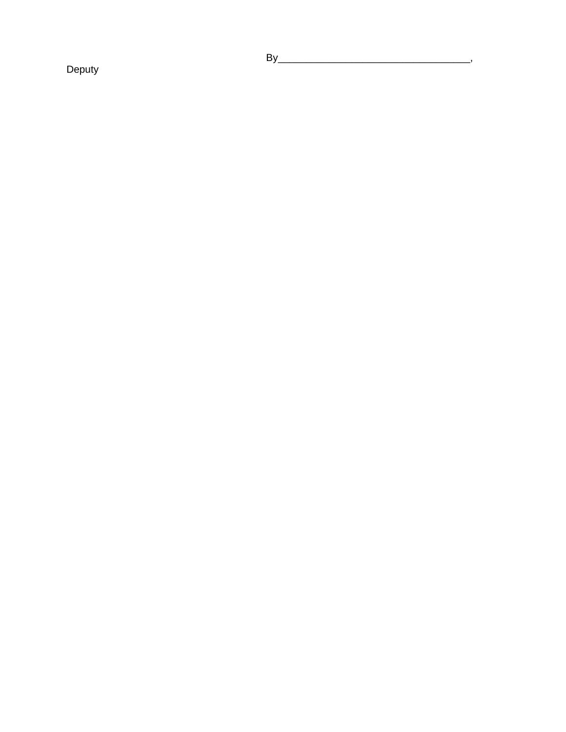Deputy